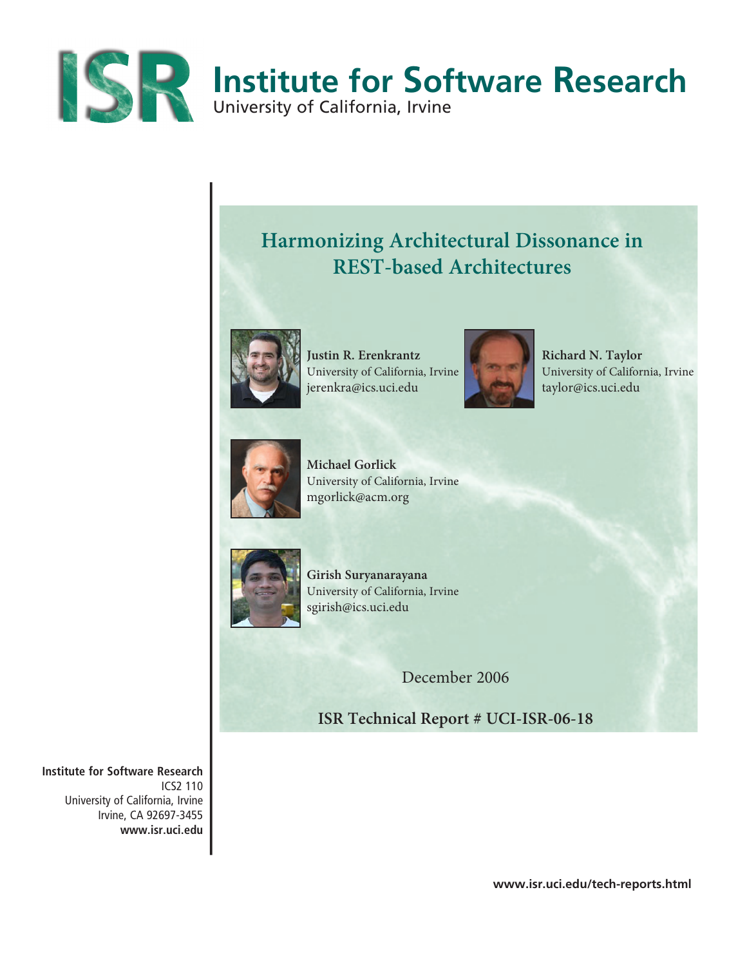

# **Harmonizing Architectural Dissonance in REST-based Architectures**



**Justin R. Erenkrantz**  University of California, Irvine jerenkra@ics.uci.edu



**Richard N. Taylor** University of California, Irvine taylor@ics.uci.edu



**Michael Gorlick**  University of California, Irvine mgorlick@acm.org



**Girish Suryanarayana**  University of California, Irvine sgirish@ics.uci.edu

December 2006

**ISR Technical Report # UCI-ISR-06-18**

**Institute for Software Research** ICS2 110 University of California, Irvine Irvine, CA 92697-3455 **www.isr.uci.edu**

**www.isr.uci.edu/tech-reports.html**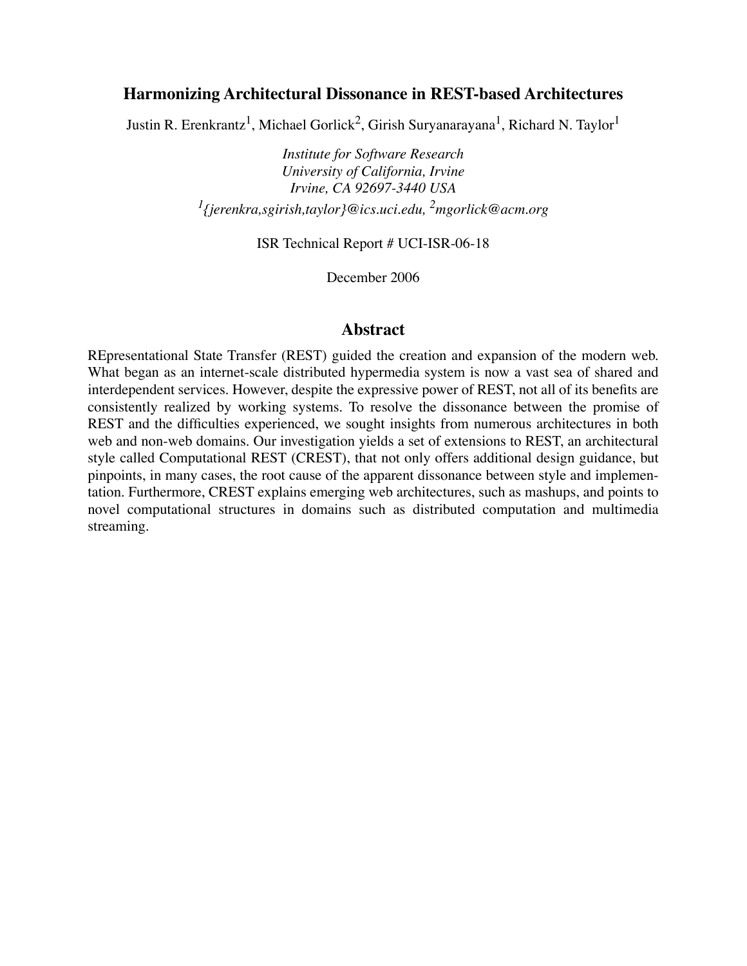# **Harmonizing Architectural Dissonance in REST-based Architectures**

Justin R. Erenkrantz<sup>1</sup>, Michael Gorlick<sup>2</sup>, Girish Suryanarayana<sup>1</sup>, Richard N. Taylor<sup>1</sup>

*Institute for Software Research University of California, Irvine Irvine, CA 92697-3440 USA 1{jerenkra,sgirish,taylor}@ics.uci.edu, 2mgorlick@acm.org*

ISR Technical Report # UCI-ISR-06-18

December 2006

## **Abstract**

REpresentational State Transfer (REST) guided the creation and expansion of the modern web. What began as an internet-scale distributed hypermedia system is now a vast sea of shared and interdependent services. However, despite the expressive power of REST, not all of its benefits are consistently realized by working systems. To resolve the dissonance between the promise of REST and the difficulties experienced, we sought insights from numerous architectures in both web and non-web domains. Our investigation yields a set of extensions to REST, an architectural style called Computational REST (CREST), that not only offers additional design guidance, but pinpoints, in many cases, the root cause of the apparent dissonance between style and implementation. Furthermore, CREST explains emerging web architectures, such as mashups, and points to novel computational structures in domains such as distributed computation and multimedia streaming.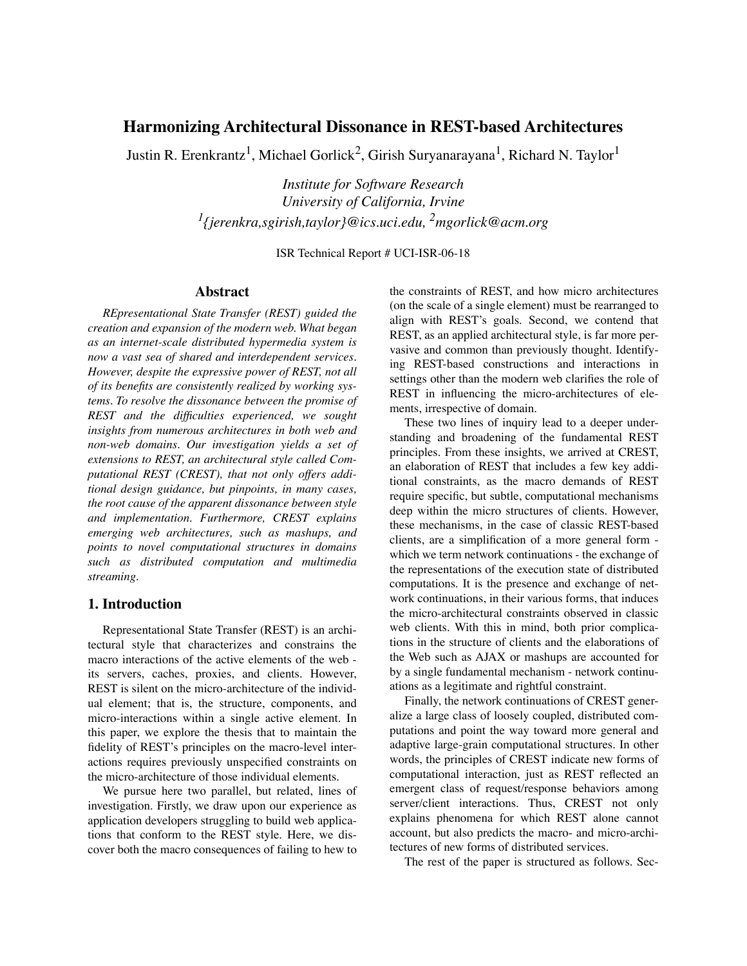## **Harmonizing Architectural Dissonance in REST-based Architectures**

Justin R. Erenkrantz<sup>1</sup>, Michael Gorlick<sup>2</sup>, Girish Suryanarayana<sup>1</sup>, Richard N. Taylor<sup>1</sup>

*Institute for Software Research University of California, Irvine 1{jerenkra,sgirish,taylor}@ics.uci.edu, 2mgorlick@acm.org*

ISR Technical Report # UCI-ISR-06-18

## **Abstract**

*REpresentational State Transfer (REST) guided the creation and expansion of the modern web. What began as an internet-scale distributed hypermedia system is now a vast sea of shared and interdependent services. However, despite the expressive power of REST, not all of its benefits are consistently realized by working systems. To resolve the dissonance between the promise of REST and the difficulties experienced, we sought insights from numerous architectures in both web and non-web domains. Our investigation yields a set of extensions to REST, an architectural style called Computational REST (CREST), that not only offers additional design guidance, but pinpoints, in many cases, the root cause of the apparent dissonance between style and implementation. Furthermore, CREST explains emerging web architectures, such as mashups, and points to novel computational structures in domains such as distributed computation and multimedia streaming.*

### **1. Introduction**

Representational State Transfer (REST) is an architectural style that characterizes and constrains the macro interactions of the active elements of the web its servers, caches, proxies, and clients. However, REST is silent on the micro-architecture of the individual element; that is, the structure, components, and micro-interactions within a single active element. In this paper, we explore the thesis that to maintain the fidelity of REST's principles on the macro-level interactions requires previously unspecified constraints on the micro-architecture of those individual elements.

We pursue here two parallel, but related, lines of investigation. Firstly, we draw upon our experience as application developers struggling to build web applications that conform to the REST style. Here, we discover both the macro consequences of failing to hew to

the constraints of REST, and how micro architectures (on the scale of a single element) must be rearranged to align with REST's goals. Second, we contend that REST, as an applied architectural style, is far more pervasive and common than previously thought. Identifying REST-based constructions and interactions in settings other than the modern web clarifies the role of REST in influencing the micro-architectures of elements, irrespective of domain.

These two lines of inquiry lead to a deeper understanding and broadening of the fundamental REST principles. From these insights, we arrived at CREST, an elaboration of REST that includes a few key additional constraints, as the macro demands of REST require specific, but subtle, computational mechanisms deep within the micro structures of clients. However, these mechanisms, in the case of classic REST-based clients, are a simplification of a more general form which we term network continuations - the exchange of the representations of the execution state of distributed computations. It is the presence and exchange of network continuations, in their various forms, that induces the micro-architectural constraints observed in classic web clients. With this in mind, both prior complications in the structure of clients and the elaborations of the Web such as AJAX or mashups are accounted for by a single fundamental mechanism - network continuations as a legitimate and rightful constraint.

Finally, the network continuations of CREST generalize a large class of loosely coupled, distributed computations and point the way toward more general and adaptive large-grain computational structures. In other words, the principles of CREST indicate new forms of computational interaction, just as REST reflected an emergent class of request/response behaviors among server/client interactions. Thus, CREST not only explains phenomena for which REST alone cannot account, but also predicts the macro- and micro-architectures of new forms of distributed services.

The rest of the paper is structured as follows. Sec-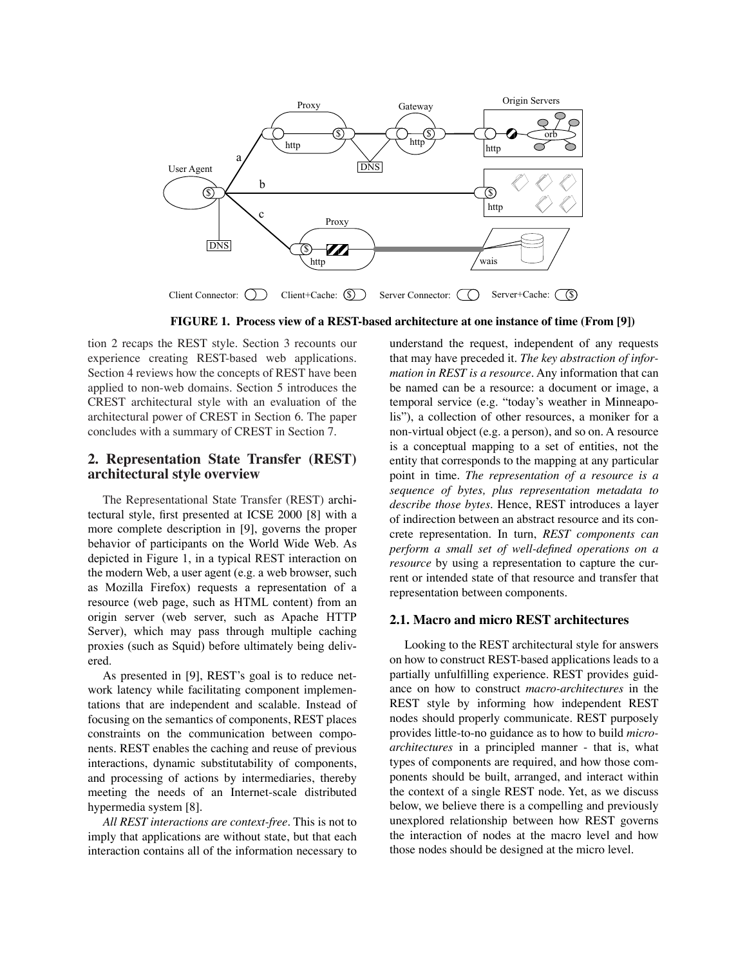

**FIGURE 1. Process view of a REST-based architecture at one instance of time (From [9])**

tion 2 recaps the REST style. Section 3 recounts our experience creating REST-based web applications. Section 4 reviews how the concepts of REST have been applied to non-web domains. Section 5 introduces the CREST architectural style with an evaluation of the architectural power of CREST in Section 6. The paper concludes with a summary of CREST in Section 7.

## **2. Representation State Transfer (REST) architectural style overview**

The Representational State Transfer (REST) architectural style, first presented at ICSE 2000 [8] with a more complete description in [9], governs the proper behavior of participants on the World Wide Web. As depicted in Figure 1, in a typical REST interaction on the modern Web, a user agent (e.g. a web browser, such as Mozilla Firefox) requests a representation of a resource (web page, such as HTML content) from an origin server (web server, such as Apache HTTP Server), which may pass through multiple caching proxies (such as Squid) before ultimately being delivered.

As presented in [9], REST's goal is to reduce network latency while facilitating component implementations that are independent and scalable. Instead of focusing on the semantics of components, REST places constraints on the communication between components. REST enables the caching and reuse of previous interactions, dynamic substitutability of components, and processing of actions by intermediaries, thereby meeting the needs of an Internet-scale distributed hypermedia system [8].

*All REST interactions are context-free*. This is not to imply that applications are without state, but that each interaction contains all of the information necessary to

understand the request, independent of any requests that may have preceded it. *The key abstraction of information in REST is a resource*. Any information that can be named can be a resource: a document or image, a temporal service (e.g. "today's weather in Minneapolis"), a collection of other resources, a moniker for a non-virtual object (e.g. a person), and so on. A resource is a conceptual mapping to a set of entities, not the entity that corresponds to the mapping at any particular point in time. *The representation of a resource is a sequence of bytes, plus representation metadata to describe those bytes.* Hence, REST introduces a layer of indirection between an abstract resource and its concrete representation. In turn, *REST components can perform a small set of well-defined operations on a resource* by using a representation to capture the current or intended state of that resource and transfer that representation between components.

### **2.1. Macro and micro REST architectures**

Looking to the REST architectural style for answers on how to construct REST-based applications leads to a partially unfulfilling experience. REST provides guidance on how to construct *macro-architectures* in the REST style by informing how independent REST nodes should properly communicate. REST purposely provides little-to-no guidance as to how to build *microarchitectures* in a principled manner - that is, what types of components are required, and how those components should be built, arranged, and interact within the context of a single REST node. Yet, as we discuss below, we believe there is a compelling and previously unexplored relationship between how REST governs the interaction of nodes at the macro level and how those nodes should be designed at the micro level.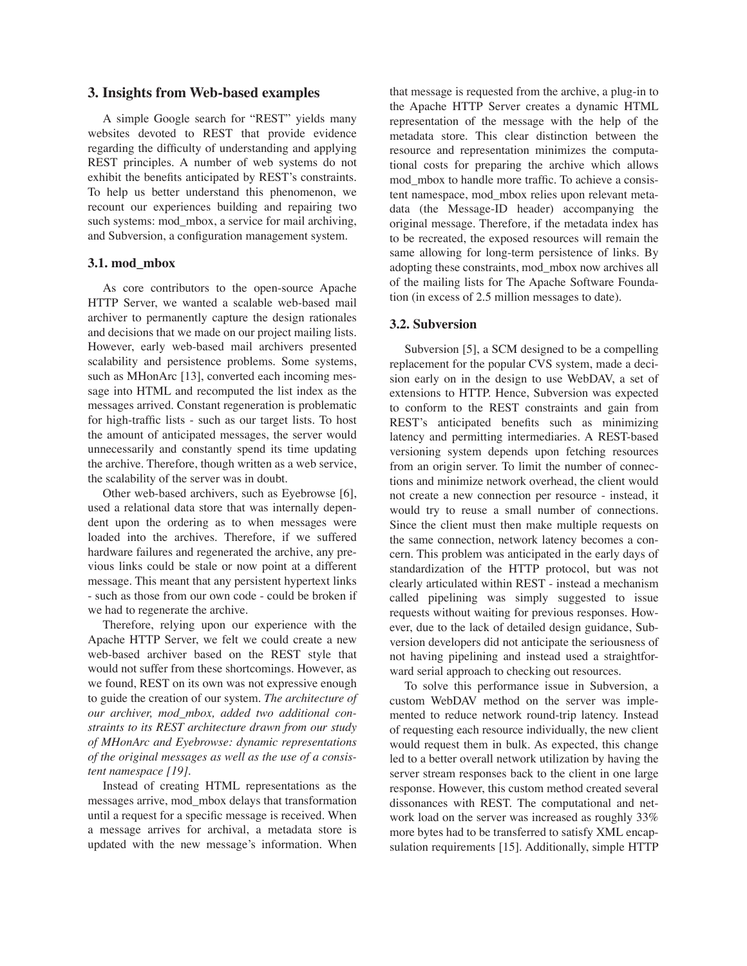## **3. Insights from Web-based examples**

A simple Google search for "REST" yields many websites devoted to REST that provide evidence regarding the difficulty of understanding and applying REST principles. A number of web systems do not exhibit the benefits anticipated by REST's constraints. To help us better understand this phenomenon, we recount our experiences building and repairing two such systems: mod\_mbox, a service for mail archiving, and Subversion, a configuration management system.

#### **3.1. mod\_mbox**

As core contributors to the open-source Apache HTTP Server, we wanted a scalable web-based mail archiver to permanently capture the design rationales and decisions that we made on our project mailing lists. However, early web-based mail archivers presented scalability and persistence problems. Some systems, such as MHonArc [13], converted each incoming message into HTML and recomputed the list index as the messages arrived. Constant regeneration is problematic for high-traffic lists - such as our target lists. To host the amount of anticipated messages, the server would unnecessarily and constantly spend its time updating the archive. Therefore, though written as a web service, the scalability of the server was in doubt.

Other web-based archivers, such as Eyebrowse [6], used a relational data store that was internally dependent upon the ordering as to when messages were loaded into the archives. Therefore, if we suffered hardware failures and regenerated the archive, any previous links could be stale or now point at a different message. This meant that any persistent hypertext links - such as those from our own code - could be broken if we had to regenerate the archive.

Therefore, relying upon our experience with the Apache HTTP Server, we felt we could create a new web-based archiver based on the REST style that would not suffer from these shortcomings. However, as we found, REST on its own was not expressive enough to guide the creation of our system. *The architecture of our archiver, mod\_mbox, added two additional constraints to its REST architecture drawn from our study of MHonArc and Eyebrowse: dynamic representations of the original messages as well as the use of a consistent namespace [19].*

Instead of creating HTML representations as the messages arrive, mod\_mbox delays that transformation until a request for a specific message is received. When a message arrives for archival, a metadata store is updated with the new message's information. When

that message is requested from the archive, a plug-in to the Apache HTTP Server creates a dynamic HTML representation of the message with the help of the metadata store. This clear distinction between the resource and representation minimizes the computational costs for preparing the archive which allows mod\_mbox to handle more traffic. To achieve a consistent namespace, mod\_mbox relies upon relevant metadata (the Message-ID header) accompanying the original message. Therefore, if the metadata index has to be recreated, the exposed resources will remain the same allowing for long-term persistence of links. By adopting these constraints, mod\_mbox now archives all of the mailing lists for The Apache Software Foundation (in excess of 2.5 million messages to date).

#### **3.2. Subversion**

Subversion [5], a SCM designed to be a compelling replacement for the popular CVS system, made a decision early on in the design to use WebDAV, a set of extensions to HTTP. Hence, Subversion was expected to conform to the REST constraints and gain from REST's anticipated benefits such as minimizing latency and permitting intermediaries. A REST-based versioning system depends upon fetching resources from an origin server. To limit the number of connections and minimize network overhead, the client would not create a new connection per resource - instead, it would try to reuse a small number of connections. Since the client must then make multiple requests on the same connection, network latency becomes a concern. This problem was anticipated in the early days of standardization of the HTTP protocol, but was not clearly articulated within REST - instead a mechanism called pipelining was simply suggested to issue requests without waiting for previous responses. However, due to the lack of detailed design guidance, Subversion developers did not anticipate the seriousness of not having pipelining and instead used a straightforward serial approach to checking out resources.

To solve this performance issue in Subversion, a custom WebDAV method on the server was implemented to reduce network round-trip latency. Instead of requesting each resource individually, the new client would request them in bulk. As expected, this change led to a better overall network utilization by having the server stream responses back to the client in one large response. However, this custom method created several dissonances with REST. The computational and network load on the server was increased as roughly 33% more bytes had to be transferred to satisfy XML encapsulation requirements [15]. Additionally, simple HTTP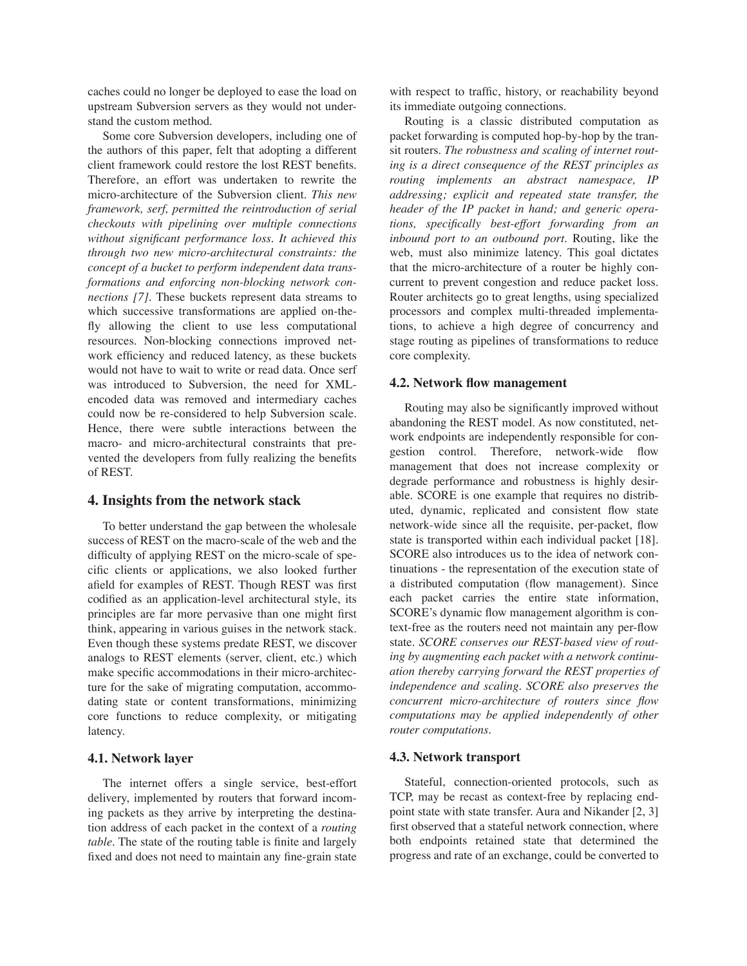caches could no longer be deployed to ease the load on upstream Subversion servers as they would not understand the custom method.

Some core Subversion developers, including one of the authors of this paper, felt that adopting a different client framework could restore the lost REST benefits. Therefore, an effort was undertaken to rewrite the micro-architecture of the Subversion client. *This new framework, serf, permitted the reintroduction of serial checkouts with pipelining over multiple connections without significant performance loss. It achieved this through two new micro-architectural constraints: the concept of a bucket to perform independent data transformations and enforcing non-blocking network connections [7].* These buckets represent data streams to which successive transformations are applied on-thefly allowing the client to use less computational resources. Non-blocking connections improved network efficiency and reduced latency, as these buckets would not have to wait to write or read data. Once serf was introduced to Subversion, the need for XMLencoded data was removed and intermediary caches could now be re-considered to help Subversion scale. Hence, there were subtle interactions between the macro- and micro-architectural constraints that prevented the developers from fully realizing the benefits of REST.

## **4. Insights from the network stack**

To better understand the gap between the wholesale success of REST on the macro-scale of the web and the difficulty of applying REST on the micro-scale of specific clients or applications, we also looked further afield for examples of REST. Though REST was first codified as an application-level architectural style, its principles are far more pervasive than one might first think, appearing in various guises in the network stack. Even though these systems predate REST, we discover analogs to REST elements (server, client, etc.) which make specific accommodations in their micro-architecture for the sake of migrating computation, accommodating state or content transformations, minimizing core functions to reduce complexity, or mitigating latency.

### **4.1. Network layer**

The internet offers a single service, best-effort delivery, implemented by routers that forward incoming packets as they arrive by interpreting the destination address of each packet in the context of a *routing table*. The state of the routing table is finite and largely fixed and does not need to maintain any fine-grain state

with respect to traffic, history, or reachability beyond its immediate outgoing connections.

Routing is a classic distributed computation as packet forwarding is computed hop-by-hop by the transit routers. *The robustness and scaling of internet routing is a direct consequence of the REST principles as routing implements an abstract namespace, IP addressing; explicit and repeated state transfer, the header of the IP packet in hand; and generic operations, specifically best-effort forwarding from an inbound port to an outbound port.* Routing, like the web, must also minimize latency. This goal dictates that the micro-architecture of a router be highly concurrent to prevent congestion and reduce packet loss. Router architects go to great lengths, using specialized processors and complex multi-threaded implementations, to achieve a high degree of concurrency and stage routing as pipelines of transformations to reduce core complexity.

## **4.2. Network flow management**

Routing may also be significantly improved without abandoning the REST model. As now constituted, network endpoints are independently responsible for congestion control. Therefore, network-wide flow management that does not increase complexity or degrade performance and robustness is highly desirable. SCORE is one example that requires no distributed, dynamic, replicated and consistent flow state network-wide since all the requisite, per-packet, flow state is transported within each individual packet [18]. SCORE also introduces us to the idea of network continuations - the representation of the execution state of a distributed computation (flow management). Since each packet carries the entire state information, SCORE's dynamic flow management algorithm is context-free as the routers need not maintain any per-flow state. *SCORE conserves our REST-based view of routing by augmenting each packet with a network continuation thereby carrying forward the REST properties of independence and scaling. SCORE also preserves the concurrent micro-architecture of routers since flow computations may be applied independently of other router computations*.

## **4.3. Network transport**

Stateful, connection-oriented protocols, such as TCP, may be recast as context-free by replacing endpoint state with state transfer. Aura and Nikander [2, 3] first observed that a stateful network connection, where both endpoints retained state that determined the progress and rate of an exchange, could be converted to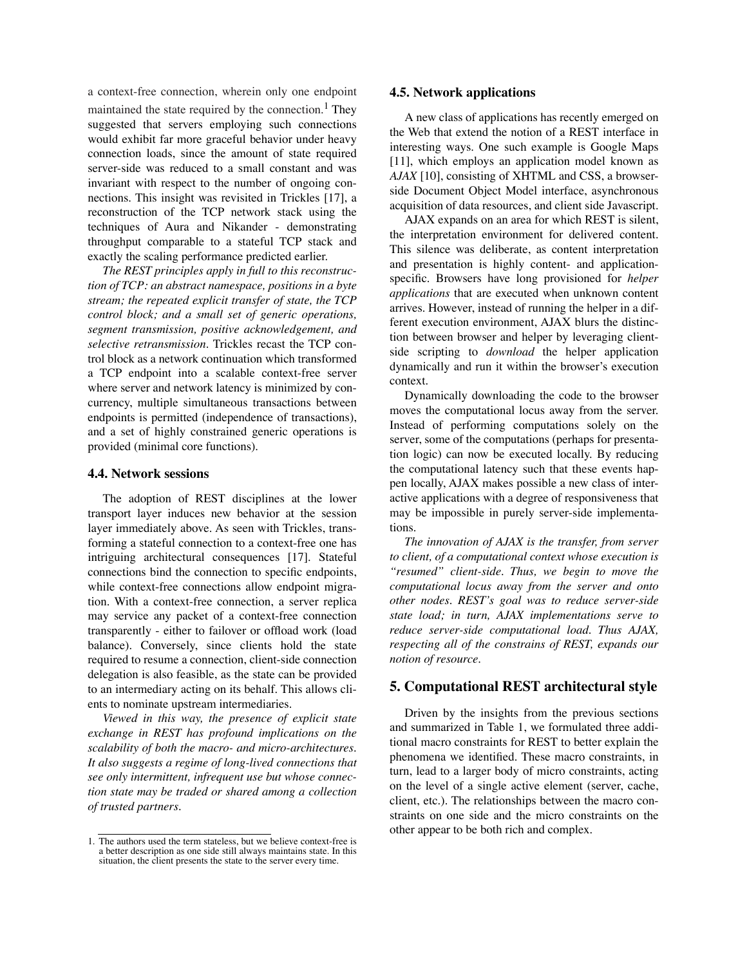a context-free connection, wherein only one endpoint maintained the state required by the connection.<sup>1</sup> They suggested that servers employing such connections would exhibit far more graceful behavior under heavy connection loads, since the amount of state required server-side was reduced to a small constant and was invariant with respect to the number of ongoing connections. This insight was revisited in Trickles [17], a reconstruction of the TCP network stack using the techniques of Aura and Nikander - demonstrating throughput comparable to a stateful TCP stack and exactly the scaling performance predicted earlier.

*The REST principles apply in full to this reconstruction of TCP: an abstract namespace, positions in a byte stream; the repeated explicit transfer of state, the TCP control block; and a small set of generic operations, segment transmission, positive acknowledgement, and selective retransmission.* Trickles recast the TCP control block as a network continuation which transformed a TCP endpoint into a scalable context-free server where server and network latency is minimized by concurrency, multiple simultaneous transactions between endpoints is permitted (independence of transactions), and a set of highly constrained generic operations is provided (minimal core functions).

#### **4.4. Network sessions**

The adoption of REST disciplines at the lower transport layer induces new behavior at the session layer immediately above. As seen with Trickles, transforming a stateful connection to a context-free one has intriguing architectural consequences [17]. Stateful connections bind the connection to specific endpoints, while context-free connections allow endpoint migration. With a context-free connection, a server replica may service any packet of a context-free connection transparently - either to failover or offload work (load balance). Conversely, since clients hold the state required to resume a connection, client-side connection delegation is also feasible, as the state can be provided to an intermediary acting on its behalf. This allows clients to nominate upstream intermediaries.

*Viewed in this way, the presence of explicit state exchange in REST has profound implications on the scalability of both the macro- and micro-architectures. It also suggests a regime of long-lived connections that see only intermittent, infrequent use but whose connection state may be traded or shared among a collection of trusted partners.*

#### **4.5. Network applications**

A new class of applications has recently emerged on the Web that extend the notion of a REST interface in interesting ways. One such example is Google Maps [11], which employs an application model known as *AJAX* [10], consisting of XHTML and CSS, a browserside Document Object Model interface, asynchronous acquisition of data resources, and client side Javascript.

AJAX expands on an area for which REST is silent, the interpretation environment for delivered content. This silence was deliberate, as content interpretation and presentation is highly content- and applicationspecific. Browsers have long provisioned for *helper applications* that are executed when unknown content arrives. However, instead of running the helper in a different execution environment, AJAX blurs the distinction between browser and helper by leveraging clientside scripting to *download* the helper application dynamically and run it within the browser's execution context.

Dynamically downloading the code to the browser moves the computational locus away from the server. Instead of performing computations solely on the server, some of the computations (perhaps for presentation logic) can now be executed locally. By reducing the computational latency such that these events happen locally, AJAX makes possible a new class of interactive applications with a degree of responsiveness that may be impossible in purely server-side implementations.

*The innovation of AJAX is the transfer, from server to client, of a computational context whose execution is "resumed" client-side. Thus, we begin to move the computational locus away from the server and onto other nodes. REST's goal was to reduce server-side state load; in turn, AJAX implementations serve to reduce server-side computational load. Thus AJAX, respecting all of the constrains of REST, expands our notion of resource.*

## **5. Computational REST architectural style**

Driven by the insights from the previous sections and summarized in Table 1, we formulated three additional macro constraints for REST to better explain the phenomena we identified. These macro constraints, in turn, lead to a larger body of micro constraints, acting on the level of a single active element (server, cache, client, etc.). The relationships between the macro constraints on one side and the micro constraints on the other appear to be both rich and complex.

<sup>1.</sup> The authors used the term stateless, but we believe context-free is a better description as one side still always maintains state. In this situation, the client presents the state to the server every time.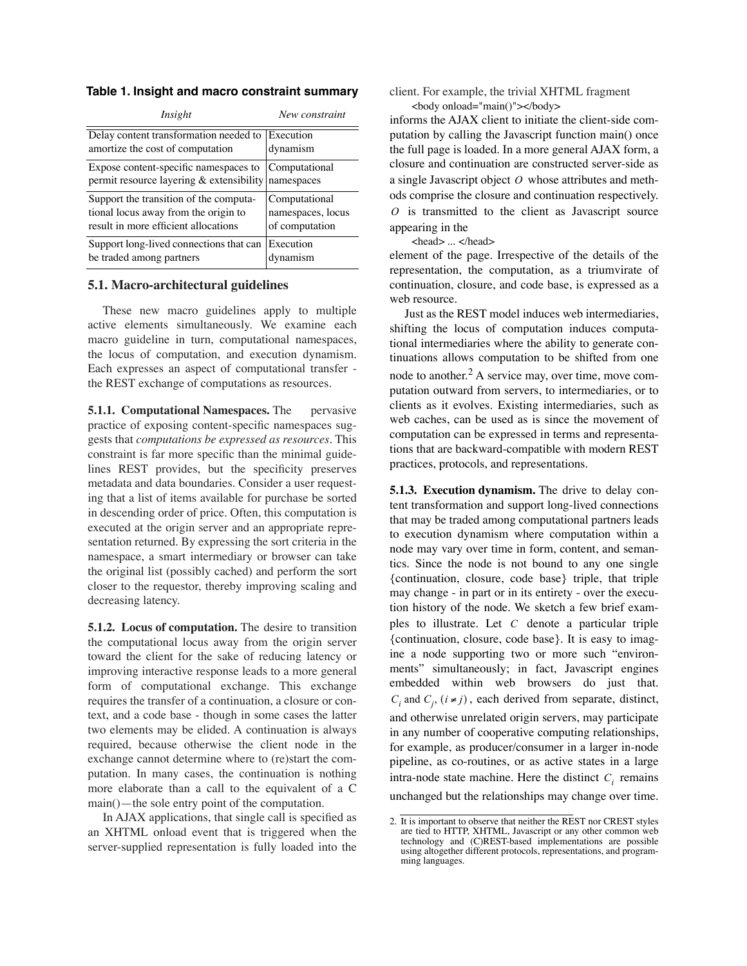**Table 1. Insight and macro constraint summary**

| Insight                                                                                        | New constraint    |
|------------------------------------------------------------------------------------------------|-------------------|
| Delay content transformation needed to                                                         | Execution         |
| amortize the cost of computation                                                               | dynamism          |
| Expose content-specific namespaces to<br>permit resource layering $&$ extensibility namespaces | Computational     |
| Support the transition of the computa-                                                         | Computational     |
| tional locus away from the origin to                                                           | namespaces, locus |
| result in more efficient allocations                                                           | of computation    |
| Support long-lived connections that can                                                        | Execution         |
| be traded among partners                                                                       | dvnamism          |

## **5.1. Macro-architectural guidelines**

These new macro guidelines apply to multiple active elements simultaneously. We examine each macro guideline in turn, computational namespaces, the locus of computation, and execution dynamism. Each expresses an aspect of computational transfer the REST exchange of computations as resources.

**5.1.1. Computational Namespaces.** The pervasive practice of exposing content-specific namespaces suggests that *computations be expressed as resources*. This constraint is far more specific than the minimal guidelines REST provides, but the specificity preserves metadata and data boundaries. Consider a user requesting that a list of items available for purchase be sorted in descending order of price. Often, this computation is executed at the origin server and an appropriate representation returned. By expressing the sort criteria in the namespace, a smart intermediary or browser can take the original list (possibly cached) and perform the sort closer to the requestor, thereby improving scaling and decreasing latency.

**5.1.2. Locus of computation.** The desire to transition the computational locus away from the origin server toward the client for the sake of reducing latency or improving interactive response leads to a more general form of computational exchange. This exchange requires the transfer of a continuation, a closure or context, and a code base - though in some cases the latter two elements may be elided. A continuation is always required, because otherwise the client node in the exchange cannot determine where to (re)start the computation. In many cases, the continuation is nothing more elaborate than a call to the equivalent of a C main()—the sole entry point of the computation.

In AJAX applications, that single call is specified as an XHTML onload event that is triggered when the server-supplied representation is fully loaded into the

client. For example, the trivial XHTML fragment <body onload="main()"></body>

informs the AJAX client to initiate the client-side computation by calling the Javascript function main() once the full page is loaded. In a more general AJAX form, a closure and continuation are constructed server-side as a single Javascript object O whose attributes and methods comprise the closure and continuation respectively. is transmitted to the client as Javascript source *O* appearing in the

<head> ... </head>

element of the page. Irrespective of the details of the representation, the computation, as a triumvirate of continuation, closure, and code base, is expressed as a web resource.

Just as the REST model induces web intermediaries, shifting the locus of computation induces computational intermediaries where the ability to generate continuations allows computation to be shifted from one node to another.<sup>2</sup> A service may, over time, move computation outward from servers, to intermediaries, or to clients as it evolves. Existing intermediaries, such as web caches, can be used as is since the movement of computation can be expressed in terms and representations that are backward-compatible with modern REST practices, protocols, and representations.

**5.1.3. Execution dynamism.** The drive to delay content transformation and support long-lived connections that may be traded among computational partners leads to execution dynamism where computation within a node may vary over time in form, content, and semantics. Since the node is not bound to any one single {continuation, closure, code base} triple, that triple may change - in part or in its entirety - over the execution history of the node. We sketch a few brief examples to illustrate. Let  $C$  denote a particular triple {continuation, closure, code base}. It is easy to imagine a node supporting two or more such "environments" simultaneously; in fact, Javascript engines embedded within web browsers do just that.  $C_i$  and  $C_j$ ,  $(i \neq j)$ , each derived from separate, distinct, and otherwise unrelated origin servers, may participate in any number of cooperative computing relationships, for example, as producer/consumer in a larger in-node pipeline, as co-routines, or as active states in a large intra-node state machine. Here the distinct  $C_i$  remains unchanged but the relationships may change over time.

<sup>2.</sup> It is important to observe that neither the REST nor CREST styles are tied to HTTP, XHTML, Javascript or any other common web technology and (C)REST-based implementations are possible using altogether different protocols, representations, and program- ming languages.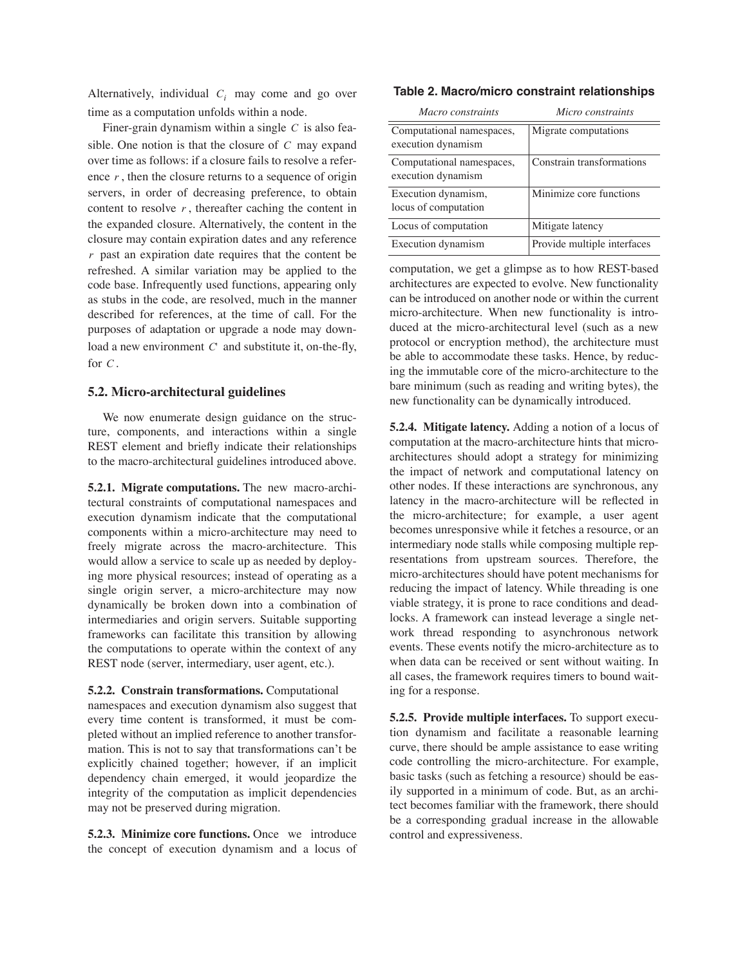Alternatively, individual  $C_i$  may come and go over time as a computation unfolds within a node.

Finer-grain dynamism within a single  $C$  is also feasible. One notion is that the closure of  $C$  may expand over time as follows: if a closure fails to resolve a reference  $r$ , then the closure returns to a sequence of origin servers, in order of decreasing preference, to obtain content to resolve  $r$ , thereafter caching the content in the expanded closure. Alternatively, the content in the closure may contain expiration dates and any reference  $r$  past an expiration date requires that the content be refreshed. A similar variation may be applied to the code base. Infrequently used functions, appearing only as stubs in the code, are resolved, much in the manner described for references, at the time of call. For the purposes of adaptation or upgrade a node may download a new environment C' and substitute it, on-the-fly, for  $C$ .

## **5.2. Micro-architectural guidelines**

We now enumerate design guidance on the structure, components, and interactions within a single REST element and briefly indicate their relationships to the macro-architectural guidelines introduced above.

**5.2.1. Migrate computations.** The new macro-architectural constraints of computational namespaces and execution dynamism indicate that the computational components within a micro-architecture may need to freely migrate across the macro-architecture. This would allow a service to scale up as needed by deploying more physical resources; instead of operating as a single origin server, a micro-architecture may now dynamically be broken down into a combination of intermediaries and origin servers. Suitable supporting frameworks can facilitate this transition by allowing the computations to operate within the context of any REST node (server, intermediary, user agent, etc.).

## **5.2.2. Constrain transformations.** Computational

namespaces and execution dynamism also suggest that every time content is transformed, it must be completed without an implied reference to another transformation. This is not to say that transformations can't be explicitly chained together; however, if an implicit dependency chain emerged, it would jeopardize the integrity of the computation as implicit dependencies may not be preserved during migration.

**5.2.3. Minimize core functions.** Once we introduce the concept of execution dynamism and a locus of

#### **Table 2. Macro/micro constraint relationships**

| Macro constraints                               | Micro constraints           |
|-------------------------------------------------|-----------------------------|
| Computational namespaces,<br>execution dynamism | Migrate computations        |
| Computational namespaces,<br>execution dynamism | Constrain transformations   |
| Execution dynamism,<br>locus of computation     | Minimize core functions     |
| Locus of computation                            | Mitigate latency            |
| Execution dynamism                              | Provide multiple interfaces |

computation, we get a glimpse as to how REST-based architectures are expected to evolve. New functionality can be introduced on another node or within the current micro-architecture. When new functionality is introduced at the micro-architectural level (such as a new protocol or encryption method), the architecture must be able to accommodate these tasks. Hence, by reducing the immutable core of the micro-architecture to the bare minimum (such as reading and writing bytes), the new functionality can be dynamically introduced.

**5.2.4. Mitigate latency.** Adding a notion of a locus of computation at the macro-architecture hints that microarchitectures should adopt a strategy for minimizing the impact of network and computational latency on other nodes. If these interactions are synchronous, any latency in the macro-architecture will be reflected in the micro-architecture; for example, a user agent becomes unresponsive while it fetches a resource, or an intermediary node stalls while composing multiple representations from upstream sources. Therefore, the micro-architectures should have potent mechanisms for reducing the impact of latency. While threading is one viable strategy, it is prone to race conditions and deadlocks. A framework can instead leverage a single network thread responding to asynchronous network events. These events notify the micro-architecture as to when data can be received or sent without waiting. In all cases, the framework requires timers to bound waiting for a response.

**5.2.5. Provide multiple interfaces.** To support execution dynamism and facilitate a reasonable learning curve, there should be ample assistance to ease writing code controlling the micro-architecture. For example, basic tasks (such as fetching a resource) should be easily supported in a minimum of code. But, as an architect becomes familiar with the framework, there should be a corresponding gradual increase in the allowable control and expressiveness.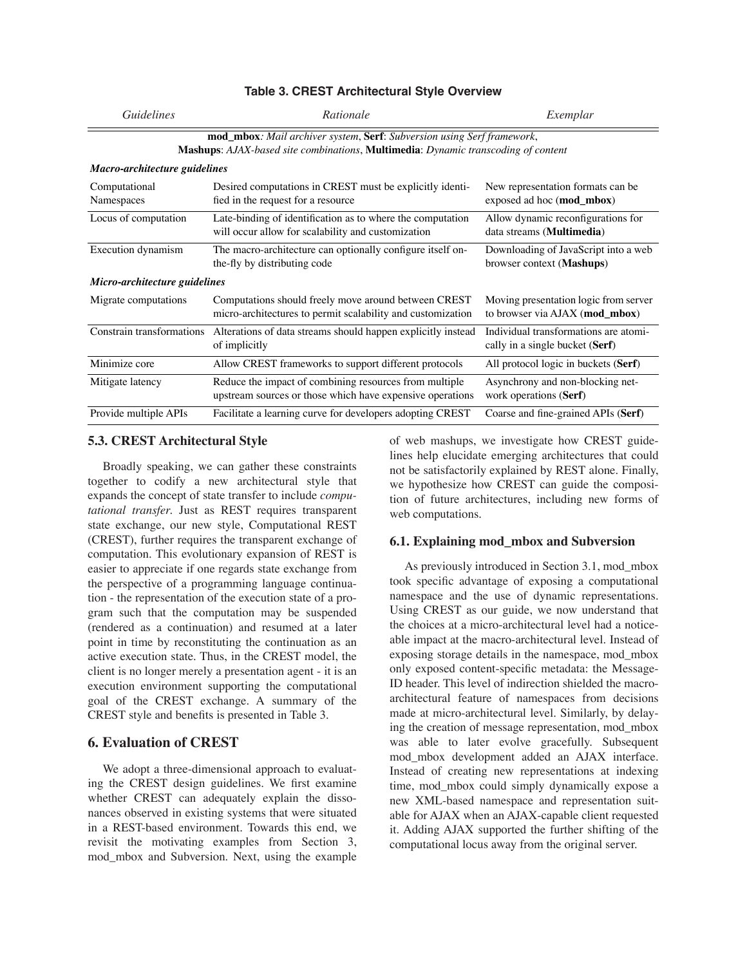| <b>Guidelines</b>                                                                                                                                                          | Rationale                                                                                                           | Exemplar                                                                 |  |
|----------------------------------------------------------------------------------------------------------------------------------------------------------------------------|---------------------------------------------------------------------------------------------------------------------|--------------------------------------------------------------------------|--|
| mod_mbox: Mail archiver system, Serf: Subversion using Serf framework,<br><b>Mashups:</b> AJAX-based site combinations, <b>Multimedia</b> : Dynamic transcoding of content |                                                                                                                     |                                                                          |  |
| Macro-architecture guidelines                                                                                                                                              |                                                                                                                     |                                                                          |  |
| Computational<br>Namespaces                                                                                                                                                | Desired computations in CREST must be explicitly identi-<br>fied in the request for a resource                      | New representation formats can be<br>exposed ad hoc (mod_mbox)           |  |
| Locus of computation                                                                                                                                                       | Late-binding of identification as to where the computation<br>will occur allow for scalability and customization    | Allow dynamic reconfigurations for<br>data streams (Multimedia)          |  |
| Execution dynamism                                                                                                                                                         | The macro-architecture can optionally configure itself on-<br>the-fly by distributing code                          | Downloading of JavaScript into a web<br>browser context (Mashups)        |  |
| Micro-architecture guidelines                                                                                                                                              |                                                                                                                     |                                                                          |  |
| Migrate computations                                                                                                                                                       | Computations should freely move around between CREST<br>micro-architectures to permit scalability and customization | Moving presentation logic from server<br>to browser via AJAX (mod_mbox)  |  |
| Constrain transformations                                                                                                                                                  | Alterations of data streams should happen explicitly instead<br>of implicitly                                       | Individual transformations are atomi-<br>cally in a single bucket (Serf) |  |
| Minimize core                                                                                                                                                              | Allow CREST frameworks to support different protocols                                                               | All protocol logic in buckets (Serf)                                     |  |
| Mitigate latency                                                                                                                                                           | Reduce the impact of combining resources from multiple<br>upstream sources or those which have expensive operations | Asynchrony and non-blocking net-<br>work operations (Serf)               |  |
| Provide multiple APIs                                                                                                                                                      | Facilitate a learning curve for developers adopting CREST                                                           | Coarse and fine-grained APIs (Serf)                                      |  |

## **Table 3. CREST Architectural Style Overview**

### **5.3. CREST Architectural Style**

Broadly speaking, we can gather these constraints together to codify a new architectural style that expands the concept of state transfer to include *computational transfer*. Just as REST requires transparent state exchange, our new style, Computational REST (CREST), further requires the transparent exchange of computation. This evolutionary expansion of REST is easier to appreciate if one regards state exchange from the perspective of a programming language continuation - the representation of the execution state of a program such that the computation may be suspended (rendered as a continuation) and resumed at a later point in time by reconstituting the continuation as an active execution state. Thus, in the CREST model, the client is no longer merely a presentation agent - it is an execution environment supporting the computational goal of the CREST exchange. A summary of the CREST style and benefits is presented in Table 3.

## **6. Evaluation of CREST**

We adopt a three-dimensional approach to evaluating the CREST design guidelines. We first examine whether CREST can adequately explain the dissonances observed in existing systems that were situated in a REST-based environment. Towards this end, we revisit the motivating examples from Section 3, mod\_mbox and Subversion. Next, using the example

of web mashups, we investigate how CREST guidelines help elucidate emerging architectures that could not be satisfactorily explained by REST alone. Finally, we hypothesize how CREST can guide the composition of future architectures, including new forms of web computations.

## **6.1. Explaining mod\_mbox and Subversion**

As previously introduced in Section 3.1, mod\_mbox took specific advantage of exposing a computational namespace and the use of dynamic representations. Using CREST as our guide, we now understand that the choices at a micro-architectural level had a noticeable impact at the macro-architectural level. Instead of exposing storage details in the namespace, mod\_mbox only exposed content-specific metadata: the Message-ID header. This level of indirection shielded the macroarchitectural feature of namespaces from decisions made at micro-architectural level. Similarly, by delaying the creation of message representation, mod\_mbox was able to later evolve gracefully. Subsequent mod\_mbox development added an AJAX interface. Instead of creating new representations at indexing time, mod\_mbox could simply dynamically expose a new XML-based namespace and representation suitable for AJAX when an AJAX-capable client requested it. Adding AJAX supported the further shifting of the computational locus away from the original server.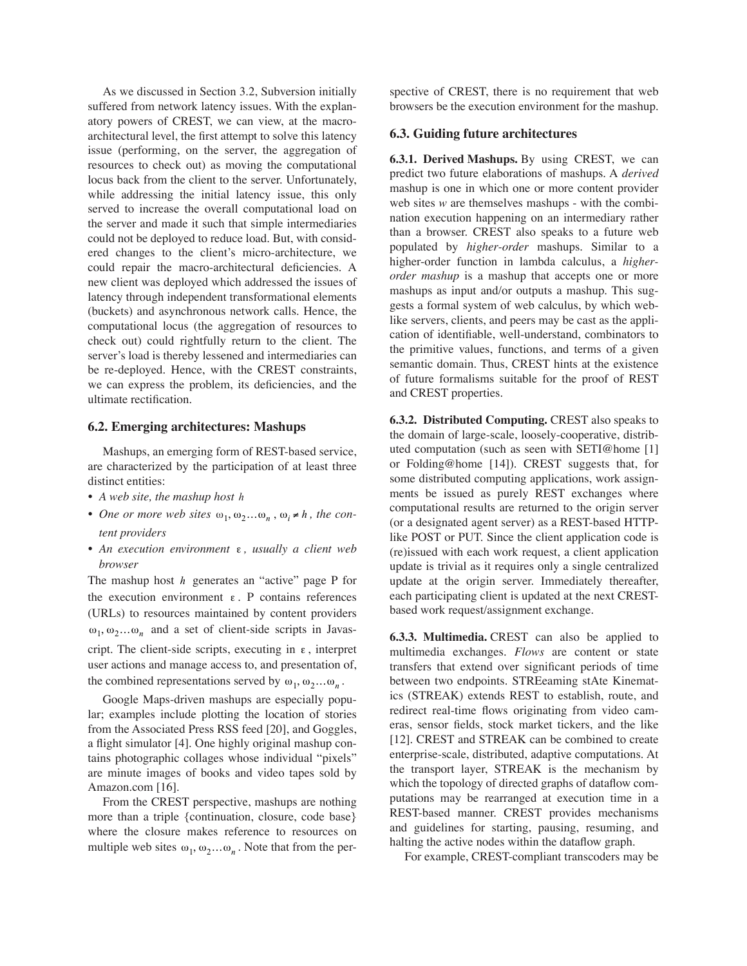As we discussed in Section 3.2, Subversion initially suffered from network latency issues. With the explanatory powers of CREST, we can view, at the macroarchitectural level, the first attempt to solve this latency issue (performing, on the server, the aggregation of resources to check out) as moving the computational locus back from the client to the server. Unfortunately, while addressing the initial latency issue, this only served to increase the overall computational load on the server and made it such that simple intermediaries could not be deployed to reduce load. But, with considered changes to the client's micro-architecture, we could repair the macro-architectural deficiencies. A new client was deployed which addressed the issues of latency through independent transformational elements (buckets) and asynchronous network calls. Hence, the computational locus (the aggregation of resources to check out) could rightfully return to the client. The server's load is thereby lessened and intermediaries can be re-deployed. Hence, with the CREST constraints, we can express the problem, its deficiencies, and the ultimate rectification.

### **6.2. Emerging architectures: Mashups**

Mashups, an emerging form of REST-based service, are characterized by the participation of at least three distinct entities:

- *• A web site, the mashup host h*
- One or more web sites  $\omega_1, \omega_2 ... \omega_n$ ,  $\omega_i \neq h$ , the con*tent providers*
- An execution environment ε, usually a client web *browser*

The mashup host *h* generates an "active" page P for the execution environment  $\varepsilon$ . P contains references (URLs) to resources maintained by content providers  $\omega_1, \omega_2...\omega_n$  and a set of client-side scripts in Javascript. The client-side scripts, executing in  $\varepsilon$ , interpret user actions and manage access to, and presentation of, the combined representations served by  $\omega_1, \omega_2 ... \omega_n$ .

Google Maps-driven mashups are especially popular; examples include plotting the location of stories from the Associated Press RSS feed [20], and Goggles, a flight simulator [4]. One highly original mashup contains photographic collages whose individual "pixels" are minute images of books and video tapes sold by Amazon.com [16].

From the CREST perspective, mashups are nothing more than a triple {continuation, closure, code base} where the closure makes reference to resources on multiple web sites  $\omega_1, \omega_2 \dots \omega_n$ . Note that from the per-

spective of CREST, there is no requirement that web browsers be the execution environment for the mashup.

#### **6.3. Guiding future architectures**

**6.3.1. Derived Mashups.** By using CREST, we can predict two future elaborations of mashups. A *derived* mashup is one in which one or more content provider web sites *w* are themselves mashups - with the combination execution happening on an intermediary rather than a browser. CREST also speaks to a future web populated by *higher-order* mashups. Similar to a higher-order function in lambda calculus, a *higherorder mashup* is a mashup that accepts one or more mashups as input and/or outputs a mashup. This suggests a formal system of web calculus, by which weblike servers, clients, and peers may be cast as the application of identifiable, well-understand, combinators to the primitive values, functions, and terms of a given semantic domain. Thus, CREST hints at the existence of future formalisms suitable for the proof of REST and CREST properties.

**6.3.2. Distributed Computing.** CREST also speaks to the domain of large-scale, loosely-cooperative, distributed computation (such as seen with SETI@home [1] or Folding@home [14]). CREST suggests that, for some distributed computing applications, work assignments be issued as purely REST exchanges where computational results are returned to the origin server (or a designated agent server) as a REST-based HTTPlike POST or PUT. Since the client application code is (re)issued with each work request, a client application update is trivial as it requires only a single centralized update at the origin server. Immediately thereafter, each participating client is updated at the next CRESTbased work request/assignment exchange.

**6.3.3. Multimedia.** CREST can also be applied to multimedia exchanges. *Flows* are content or state transfers that extend over significant periods of time between two endpoints. STREeaming stAte Kinematics (STREAK) extends REST to establish, route, and redirect real-time flows originating from video cameras, sensor fields, stock market tickers, and the like [12]. CREST and STREAK can be combined to create enterprise-scale, distributed, adaptive computations. At the transport layer, STREAK is the mechanism by which the topology of directed graphs of dataflow computations may be rearranged at execution time in a REST-based manner. CREST provides mechanisms and guidelines for starting, pausing, resuming, and halting the active nodes within the dataflow graph.

For example, CREST-compliant transcoders may be